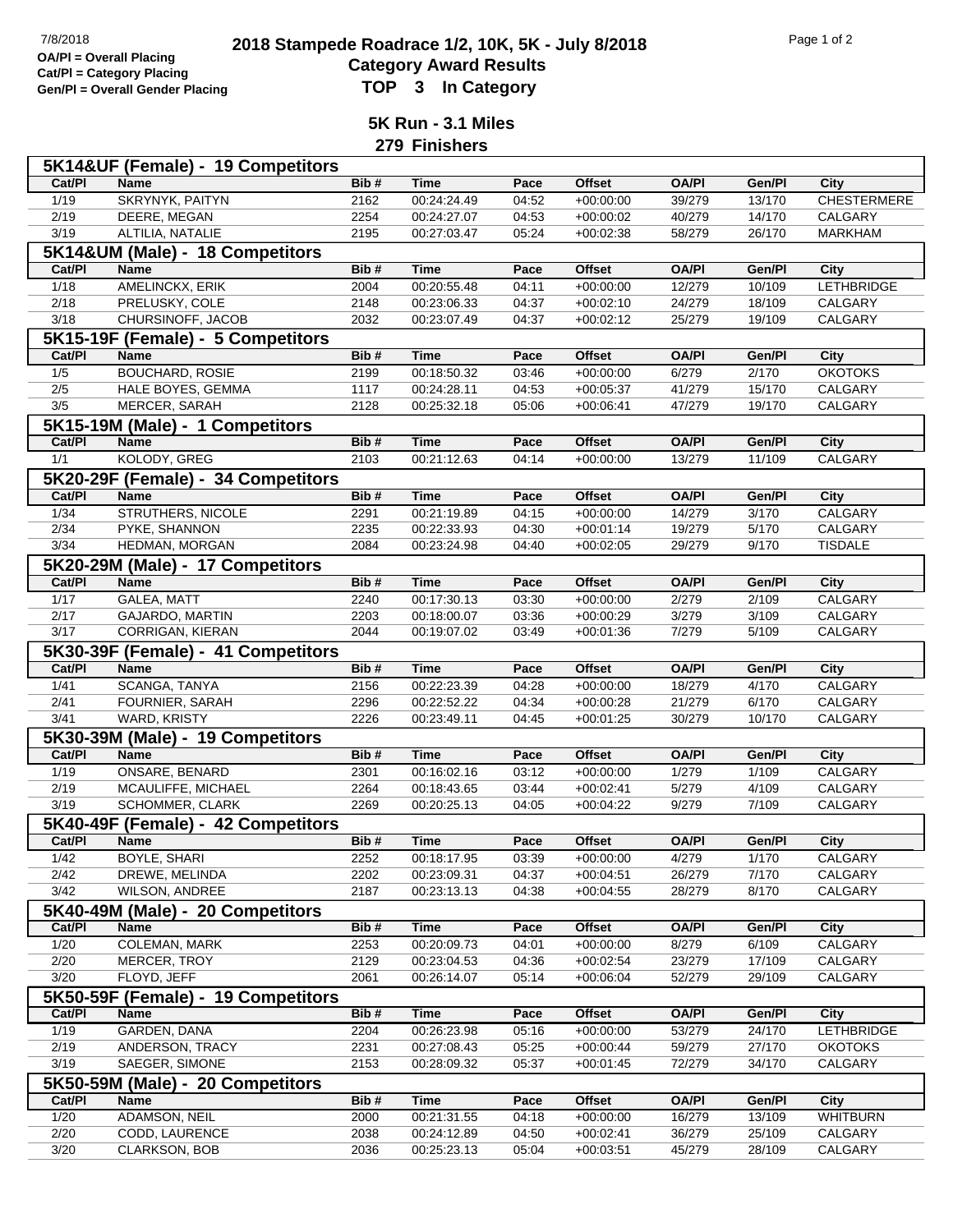## **2018 Stampede Roadrace 1/2, 10K, 5K - July 8/2018** 7/8/2018 Page 1 of 2 **Category Award Results Gen/Pl = Overall Gender Placing TOP 3 In Category**

**5K Run - 3.1 Miles**

**279 Finishers**

|                | 5K14&UF (Female) - 19 Competitors  |              |                            |                |                            |                 |                |                    |
|----------------|------------------------------------|--------------|----------------------------|----------------|----------------------------|-----------------|----------------|--------------------|
| Cat/PI         | Name                               | Bib#         | <b>Time</b>                | Pace           | <b>Offset</b>              | <b>OA/PI</b>    | Gen/Pl         | City               |
| 1/19           | SKRYNYK, PAITYN                    | 2162         | 00:24:24.49                | 04:52          | $+00:00:00$                | 39/279          | 13/170         | <b>CHESTERMERE</b> |
| 2/19           | DEERE, MEGAN                       | 2254         | 00:24:27.07                | 04:53          | $+00:00:02$                | 40/279          | 14/170         | <b>CALGARY</b>     |
| 3/19           | ALTILIA, NATALIE                   | 2195         | 00:27:03.47                | 05:24          | $+00:02:38$                | 58/279          | 26/170         | <b>MARKHAM</b>     |
|                | 5K14&UM (Male) - 18 Competitors    |              |                            |                |                            |                 |                |                    |
| Cat/PI         | <b>Name</b>                        | Bib#         | <b>Time</b>                | Pace           | <b>Offset</b>              | <b>OA/PI</b>    | Gen/Pl         | City               |
| 1/18           | AMELINCKX, ERIK                    | 2004         | 00:20:55.48                | 04:11          | $+00:00:00$                | 12/279          | 10/109         | <b>LETHBRIDGE</b>  |
| 2/18           | PRELUSKY, COLE                     | 2148         | 00:23:06.33                | 04:37          | $+00:02:10$                | 24/279          | 18/109         | CALGARY            |
| 3/18           | CHURSINOFF, JACOB                  | 2032         | 00:23:07.49                | 04:37          | $+00:02:12$                | 25/279          | 19/109         | CALGARY            |
|                | 5K15-19F (Female) - 5 Competitors  |              |                            |                |                            |                 |                |                    |
| Cat/PI         | Name                               | Bib#         | <b>Time</b>                | Pace           | <b>Offset</b>              | <b>OA/PI</b>    | Gen/Pl         | City               |
| 1/5            | <b>BOUCHARD, ROSIE</b>             | 2199         | 00:18:50.32                | 03:46          | $+00:00:00$                | 6/279           | 2/170          | <b>OKOTOKS</b>     |
| 2/5            | HALE BOYES, GEMMA                  | 1117         | 00:24:28.11                | 04:53          | $+00:05:37$                | 41/279          | 15/170         | CALGARY            |
| 3/5            | MERCER, SARAH                      | 2128         | 00:25:32.18                | 05:06          | $+00:06:41$                | 47/279          | 19/170         | CALGARY            |
|                |                                    |              |                            |                |                            |                 |                |                    |
|                | 5K15-19M (Male) - 1 Competitors    |              |                            |                |                            |                 |                |                    |
| Cat/PI         | <b>Name</b>                        | Bib#         | <b>Time</b>                | Pace           | <b>Offset</b>              | <b>OA/PI</b>    | Gen/Pl         | <b>City</b>        |
| 1/1            | KOLODY, GREG                       | 2103         | 00:21:12.63                | 04:14          | $+00:00:00$                | 13/279          | 11/109         | CALGARY            |
|                | 5K20-29F (Female) - 34 Competitors |              |                            |                |                            |                 |                |                    |
| Cat/PI         | Name                               | Bib#         | <b>Time</b>                | Pace           | <b>Offset</b>              | <b>OA/PI</b>    | Gen/Pl         | <b>City</b>        |
| 1/34           | <b>STRUTHERS, NICOLE</b>           | 2291         | 00:21:19.89                | 04:15          | $+00:00:00$                | 14/279          | 3/170          | CALGARY            |
| 2/34           | PYKE, SHANNON                      | 2235         | 00:22:33.93                | 04:30          | $+00:01:14$                | 19/279          | 5/170          | CALGARY            |
| 3/34           | HEDMAN, MORGAN                     | 2084         | 00:23:24.98                | 04:40          | $+00:02:05$                | 29/279          | 9/170          | <b>TISDALE</b>     |
|                | 5K20-29M (Male) - 17 Competitors   |              |                            |                |                            |                 |                |                    |
| Cat/PI         | <b>Name</b>                        | Bib#         | <b>Time</b>                | Pace           | <b>Offset</b>              | <b>OA/PI</b>    | Gen/Pl         | <b>City</b>        |
| 1/17           | <b>GALEA, MATT</b>                 | 2240         | 00:17:30.13                | 03:30          | $+00:00:00$                | 2/279           | 2/109          | <b>CALGARY</b>     |
| 2/17           | GAJARDO, MARTIN                    | 2203         | 00:18:00.07                | 03:36          | $+00:00:29$                | 3/279           | 3/109          | CALGARY            |
| 3/17           | CORRIGAN, KIERAN                   | 2044         | 00:19:07.02                | 03:49          | $+00:01:36$                | 7/279           | 5/109          | CALGARY            |
|                | 5K30-39F (Female) - 41 Competitors |              |                            |                |                            |                 |                |                    |
| Cat/PI         | Name                               | Bib#         | <b>Time</b>                | Pace           | <b>Offset</b>              | <b>OA/PI</b>    | Gen/PI         | <b>City</b>        |
| 1/41           | <b>SCANGA, TANYA</b>               | 2156         | 00:22:23.39                | 04:28          | $+00:00:00$                | 18/279          | 4/170          | CALGARY            |
| 2/41           | FOURNIER, SARAH                    | 2296         | 00:22:52.22                | 04:34          | $+00:00:28$                | 21/279          | 6/170          | CALGARY            |
| 3/41           | WARD, KRISTY                       | 2226         | 00:23:49.11                | 04:45          | $+00:01:25$                | 30/279          | 10/170         | CALGARY            |
|                | 5K30-39M (Male) - 19 Competitors   |              |                            |                |                            |                 |                |                    |
| Cat/PI         | <b>Name</b>                        | Bib#         | <b>Time</b>                | Pace           | <b>Offset</b>              | <b>OA/PI</b>    | Gen/PI         | City               |
| 1/19           | ONSARE, BENARD                     | 2301         | 00:16:02.16                | 03:12          | $+00:00:00$                | 1/279           | 1/109          | CALGARY            |
| 2/19           | MCAULIFFE, MICHAEL                 | 2264         | 00:18:43.65                | 03:44          | $+00:02:41$                | 5/279           | 4/109          | CALGARY            |
| 3/19           | SCHOMMER, CLARK                    | 2269         | 00:20:25.13                | 04:05          | $+00:04:22$                | 9/279           | 7/109          | CALGARY            |
|                | 5K40-49F (Female) - 42 Competitors |              |                            |                |                            |                 |                |                    |
| Cat/PI         | Name                               | Bib#         | <b>Time</b>                | Pace           | Offset                     | <b>OA/PI</b>    | Gen/PI         | City               |
|                | BOYLE, SHARI                       |              |                            |                |                            |                 |                |                    |
| 1/42<br>2/42   | DREWE, MELINDA                     | 2252<br>2202 | 00:18:17.95<br>00:23:09.31 | 03:39<br>04:37 | $+00:00:00$<br>$+00:04:51$ | 4/279<br>26/279 | 1/170<br>7/170 | CALGARY<br>CALGARY |
| $\frac{3}{42}$ | WILSON, ANDREE                     | 2187         | 00:23:13.13                | 04:38          | $+00:04:55$                | 28/279          | 8/170          | CALGARY            |
|                |                                    |              |                            |                |                            |                 |                |                    |
|                | 5K40-49M (Male) - 20 Competitors   |              |                            |                |                            |                 |                |                    |
| Cat/PI         | <b>Name</b>                        | Bib#         | <b>Time</b>                | Pace           | Offset                     | <b>OA/PI</b>    | Gen/Pl         | City               |
| 1/20           | <b>COLEMAN, MARK</b>               | 2253         | 00:20:09.73                | 04:01          | $+00:00:00$                | 8/279           | 6/109          | <b>CALGARY</b>     |
| 2/20           | MERCER, TROY                       | 2129         | 00:23:04.53                | 04:36          | $+00:02:54$                | 23/279          | 17/109         | CALGARY            |
| 3/20           | FLOYD, JEFF                        | 2061         | 00:26:14.07                | 05:14          | $+00:06:04$                | 52/279          | 29/109         | CALGARY            |
|                | 5K50-59F (Female) - 19 Competitors |              |                            |                |                            |                 |                |                    |
| Cat/PI         | <b>Name</b>                        | Bib#         | <b>Time</b>                | Pace           | <b>Offset</b>              | <b>OA/PI</b>    | Gen/Pl         | City               |
| 1/19           | <b>GARDEN, DANA</b>                | 2204         | 00:26:23.98                | 05:16          | $+00:00:00$                | 53/279          | 24/170         | <b>LETHBRIDGE</b>  |
| 2/19           | ANDERSON, TRACY                    | 2231         | 00:27:08.43                | 05:25          | $+00:00:44$                | 59/279          | 27/170         | <b>OKOTOKS</b>     |
| 3/19           | SAEGER, SIMONE                     | 2153         | 00:28:09.32                | 05:37          | $+00:01:45$                | 72/279          | 34/170         | CALGARY            |
|                | 5K50-59M (Male) - 20 Competitors   |              |                            |                |                            |                 |                |                    |
| Cat/PI         | <b>Name</b>                        | Bib#         | <b>Time</b>                | Pace           | Offset                     | <b>OA/PI</b>    | Gen/Pl         | City               |
| 1/20           | ADAMSON, NEIL                      | 2000         | 00:21:31.55                | 04:18          | $+00:00:00$                | 16/279          | 13/109         | <b>WHITBURN</b>    |
| 2/20           |                                    |              |                            |                |                            |                 |                |                    |
|                | CODD, LAURENCE                     | 2038         | 00:24:12.89                | 04:50          | $+00:02:41$                | 36/279          | 25/109         | CALGARY            |